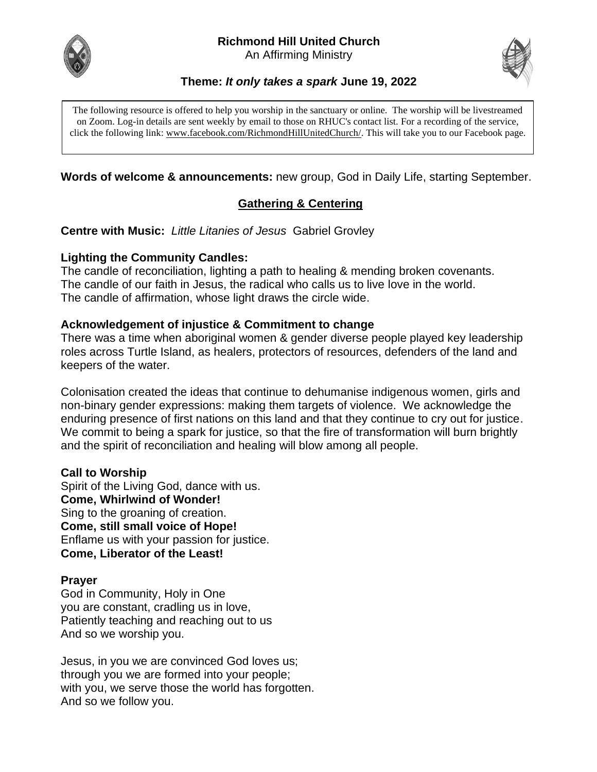



### **Theme:** *It only takes a spark* **June 19, 2022**

The following resource is offered to help you worship in the sanctuary or online. The worship will be livestreamed on Zoom. Log-in details are sent weekly by email to those on RHUC's contact list. For a recording of the service, click the following link[: www.facebook.com/RichmondHillUnitedChurch/.](http://www.facebook.com/RichmondHillUnitedChurch/) This will take you to our Facebook page.

# **Words of welcome & announcements:** new group, God in Daily Life, starting September.

# **Gathering & Centering**

**Centre with Music:** *Little Litanies of Jesus* Gabriel Grovley

### **Lighting the Community Candles:**

The candle of reconciliation, lighting a path to healing & mending broken covenants. The candle of our faith in Jesus, the radical who calls us to live love in the world. The candle of affirmation, whose light draws the circle wide.

### **Acknowledgement of injustice & Commitment to change**

There was a time when aboriginal women & gender diverse people played key leadership roles across Turtle Island, as healers, protectors of resources, defenders of the land and keepers of the water.

Colonisation created the ideas that continue to dehumanise indigenous women, girls and non-binary gender expressions: making them targets of violence. We acknowledge the enduring presence of first nations on this land and that they continue to cry out for justice. We commit to being a spark for justice, so that the fire of transformation will burn brightly and the spirit of reconciliation and healing will blow among all people.

### **Call to Worship**

Spirit of the Living God, dance with us. **Come, Whirlwind of Wonder!** Sing to the groaning of creation. **Come, still small voice of Hope!** Enflame us with your passion for justice. **Come, Liberator of the Least!**

### **Prayer**

God in Community, Holy in One you are constant, cradling us in love, Patiently teaching and reaching out to us And so we worship you.

Jesus, in you we are convinced God loves us; through you we are formed into your people; with you, we serve those the world has forgotten. And so we follow you.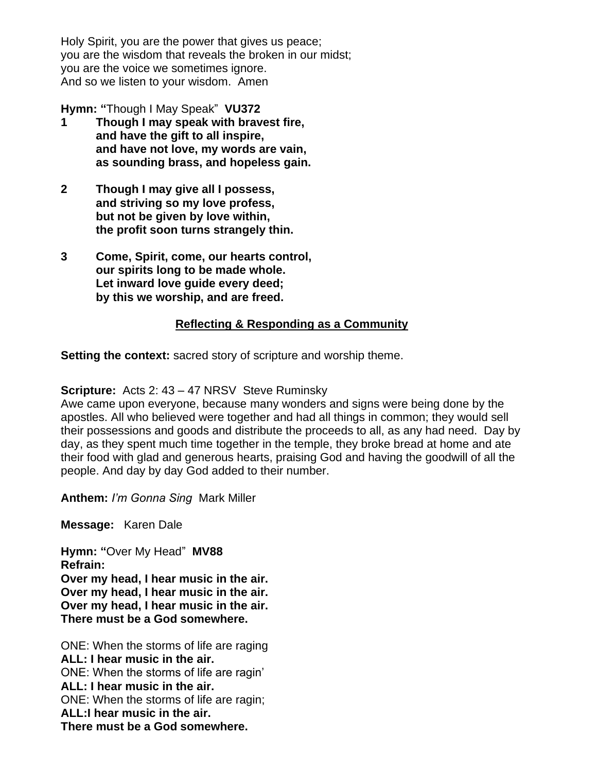Holy Spirit, you are the power that gives us peace; you are the wisdom that reveals the broken in our midst; you are the voice we sometimes ignore. And so we listen to your wisdom. Amen

**Hymn: "**Though I May Speak" **VU372** 

- **1 Though I may speak with bravest fire, and have the gift to all inspire, and have not love, my words are vain, as sounding brass, and hopeless gain.**
- **2 Though I may give all I possess, and striving so my love profess, but not be given by love within, the profit soon turns strangely thin.**
- **3 Come, Spirit, come, our hearts control, our spirits long to be made whole. Let inward love guide every deed; by this we worship, and are freed.**

## **Reflecting & Responding as a Community**

**Setting the context:** sacred story of scripture and worship theme.

**Scripture:** Acts 2: 43 – 47 NRSV Steve Ruminsky

Awe came upon everyone, because many wonders and signs were being done by the apostles. All who believed were together and had all things in common; they would sell their possessions and goods and distribute the proceeds to all, as any had need. Day by day, as they spent much time together in the temple, they broke bread at home and ate their food with glad and generous hearts, praising God and having the goodwill of all the people. And day by day God added to their number.

**Anthem:** *I'm Gonna Sing* Mark Miller

**Message:** Karen Dale

**Hymn: "**Over My Head" **MV88 Refrain: Over my head, I hear music in the air. Over my head, I hear music in the air. Over my head, I hear music in the air. There must be a God somewhere.**

ONE: When the storms of life are raging **ALL: I hear music in the air.** ONE: When the storms of life are ragin' **ALL: I hear music in the air.** ONE: When the storms of life are ragin; **ALL:I hear music in the air. There must be a God somewhere.**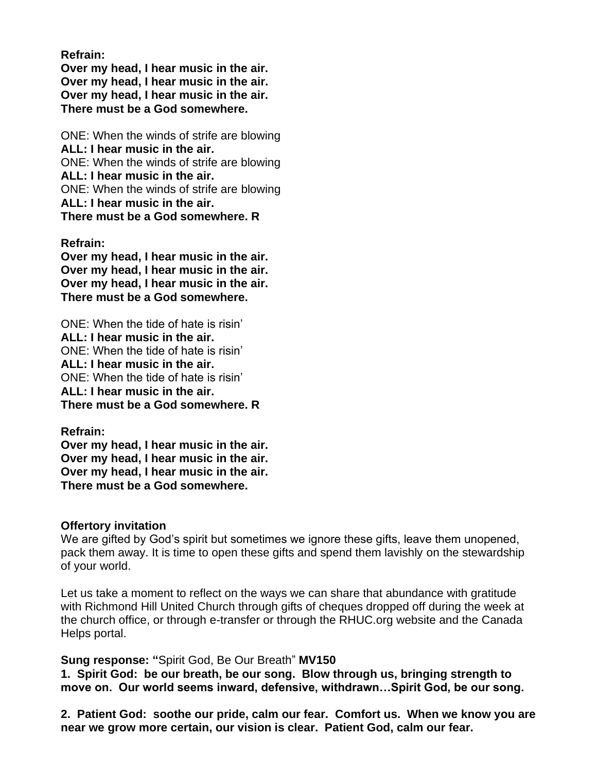**Refrain:**

**Over my head, I hear music in the air. Over my head, I hear music in the air. Over my head, I hear music in the air. There must be a God somewhere.**

ONE: When the winds of strife are blowing **ALL: I hear music in the air.** ONE: When the winds of strife are blowing **ALL: I hear music in the air.** ONE: When the winds of strife are blowing **ALL: I hear music in the air. There must be a God somewhere. R**

#### **Refrain:**

**Over my head, I hear music in the air. Over my head, I hear music in the air. Over my head, I hear music in the air. There must be a God somewhere.**

ONE: When the tide of hate is risin' **ALL: I hear music in the air.** ONE: When the tide of hate is risin' **ALL: I hear music in the air.** ONE: When the tide of hate is risin' **ALL: I hear music in the air. There must be a God somewhere. R**

#### **Refrain:**

**Over my head, I hear music in the air. Over my head, I hear music in the air. Over my head, I hear music in the air. There must be a God somewhere.**

#### **Offertory invitation**

We are gifted by God's spirit but sometimes we ignore these gifts, leave them unopened, pack them away. It is time to open these gifts and spend them lavishly on the stewardship of your world.

Let us take a moment to reflect on the ways we can share that abundance with gratitude with Richmond Hill United Church through gifts of cheques dropped off during the week at the church office, or through e-transfer or through the RHUC.org website and the Canada Helps portal.

#### **Sung response: "**Spirit God, Be Our Breath" **MV150**

**1. Spirit God: be our breath, be our song. Blow through us, bringing strength to move on. Our world seems inward, defensive, withdrawn…Spirit God, be our song.**

**2. Patient God: soothe our pride, calm our fear. Comfort us. When we know you are near we grow more certain, our vision is clear. Patient God, calm our fear.**